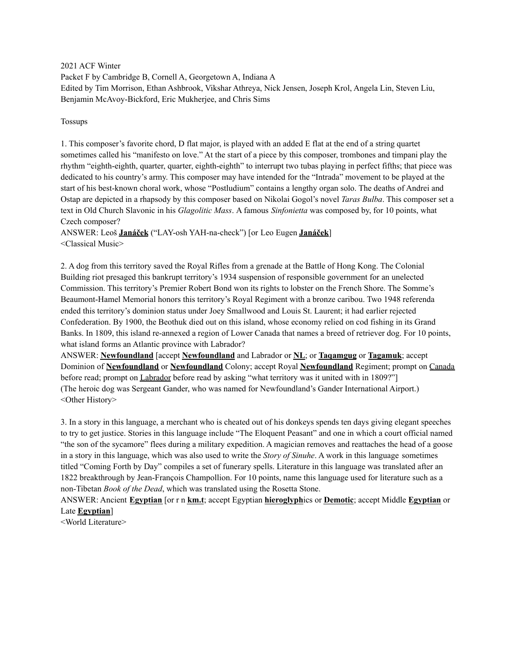2021 ACF Winter Packet F by Cambridge B, Cornell A, Georgetown A, Indiana A Edited by Tim Morrison, Ethan Ashbrook, Vikshar Athreya, Nick Jensen, Joseph Krol, Angela Lin, Steven Liu, Benjamin McAvoy-Bickford, Eric Mukherjee, and Chris Sims

Tossups

1. This composer's favorite chord, D flat major, is played with an added E flat at the end of a string quartet sometimes called his "manifesto on love." At the start of a piece by this composer, trombones and timpani play the rhythm "eighth-eighth, quarter, quarter, eighth-eighth" to interrupt two tubas playing in perfect fifths; that piece was dedicated to his country's army. This composer may have intended for the "Intrada" movement to be played at the start of his best-known choral work, whose "Postludium" contains a lengthy organ solo. The deaths of Andrei and Ostap are depicted in a rhapsody by this composer based on Nikolai Gogol's novel *Taras Bulba*. This composer set a text in Old Church Slavonic in his *Glagolitic Mass*. A famous *Sinfonietta* was composed by, for 10 points, what Czech composer?

ANSWER: Leoš **Janáček** ("LAY-osh YAH-na-check") [or Leo Eugen **Janáček**] <Classical Music>

2. A dog from this territory saved the Royal Rifles from a grenade at the Battle of Hong Kong. The Colonial Building riot presaged this bankrupt territory's 1934 suspension of responsible government for an unelected Commission. This territory's Premier Robert Bond won its rights to lobster on the French Shore. The Somme's Beaumont-Hamel Memorial honors this territory's Royal Regiment with a bronze caribou. Two 1948 referenda ended this territory's dominion status under Joey Smallwood and Louis St. Laurent; it had earlier rejected Confederation. By 1900, the Beothuk died out on this island, whose economy relied on cod fishing in its Grand Banks. In 1809, this island re-annexed a region of Lower Canada that names a breed of retriever dog. For 10 points, what island forms an Atlantic province with Labrador?

ANSWER: **Newfoundland** [accept **Newfoundland** and Labrador or **NL**; or **Taqamgug** or **Tagamuk**; accept Dominion of **Newfoundland** or **Newfoundland** Colony; accept Royal **Newfoundland** Regiment; prompt on Canada before read; prompt on Labrador before read by asking "what territory was it united with in 1809?"] (The heroic dog was Sergeant Gander, who was named for Newfoundland's Gander International Airport.) <Other History>

3. In a story in this language, a merchant who is cheated out of his donkeys spends ten days giving elegant speeches to try to get justice. Stories in this language include "The Eloquent Peasant" and one in which a court official named "the son of the sycamore" flees during a military expedition. A magician removes and reattaches the head of a goose in a story in this language, which was also used to write the *Story of Sinuhe*. A work in this language sometimes titled "Coming Forth by Day" compiles a set of funerary spells. Literature in this language was translated after an 1822 breakthrough by Jean-François Champollion. For 10 points, name this language used for literature such as a non-Tibetan *Book of the Dead*, which was translated using the Rosetta Stone.

ANSWER: Ancient **Egyptian** [or r n **km.t**; accept Egyptian **hieroglyph**ics or **Demotic**; accept Middle **Egyptian** or Late **Egyptian**]

<World Literature>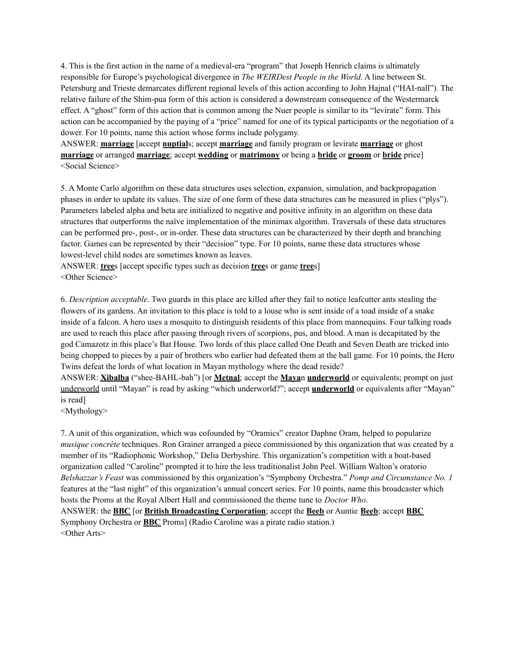4. This is the first action in the name of a medieval-era "program" that Joseph Henrich claims is ultimately responsible for Europe's psychological divergence in *The WEIRDest People in the World*. A line between St. Petersburg and Trieste demarcates different regional levels of this action according to John Hajnal ("HAI-nall"). The relative failure of the Shim-pua form of this action is considered a downstream consequence of the Westermarck effect. A "ghost" form of this action that is common among the Nuer people is similar to its "levirate" form. This action can be accompanied by the paying of a "price" named for one of its typical participants or the negotiation of a dower. For 10 points, name this action whose forms include polygamy.

ANSWER: **marriage** [accept **nuptial**s; accept **marriage** and family program or levirate **marriage** or ghost **marriage** or arranged **marriage**; accept **wedding** or **matrimony** or being a **bride** or **groom** or **bride** price] <Social Science>

5. A Monte Carlo algorithm on these data structures uses selection, expansion, simulation, and backpropagation phases in order to update its values. The size of one form of these data structures can be measured in plies ("plys"). Parameters labeled alpha and beta are initialized to negative and positive infinity in an algorithm on these data structures that outperforms the naïve implementation of the minimax algorithm. Traversals of these data structures can be performed pre-, post-, or in-order. These data structures can be characterized by their depth and branching factor. Games can be represented by their "decision" type. For 10 points, name these data structures whose lowest-level child nodes are sometimes known as leaves.

ANSWER: **tree**s [accept specific types such as decision **tree**s or game **tree**s] <Other Science>

6. *Description acceptable*. Two guards in this place are killed after they fail to notice leafcutter ants stealing the flowers of its gardens. An invitation to this place is told to a louse who is sent inside of a toad inside of a snake inside of a falcon. A hero uses a mosquito to distinguish residents of this place from mannequins. Four talking roads are used to reach this place after passing through rivers of scorpions, pus, and blood. A man is decapitated by the god Camazotz in this place's Bat House. Two lords of this place called One Death and Seven Death are tricked into being chopped to pieces by a pair of brothers who earlier had defeated them at the ball game. For 10 points, the Hero Twins defeat the lords of what location in Mayan mythology where the dead reside?

ANSWER: **Xibalba** ("shee-BAHL-bah") [or **Metnal**; accept the **Maya**n **underworld** or equivalents; prompt on just underworld until "Mayan" is read by asking "which underworld?"; accept **underworld** or equivalents after "Mayan" is read]

<Mythology>

7. A unit of this organization, which was cofounded by "Oramics" creator Daphne Oram, helped to popularize *musique concrète* techniques. Ron Grainer arranged a piece commissioned by this organization that was created by a member of its "Radiophonic Workshop," Delia Derbyshire. This organization's competition with a boat-based organization called "Caroline" prompted it to hire the less traditionalist John Peel. William Walton's oratorio *Belshazzar's Feast* was commissioned by this organization's "Symphony Orchestra." *Pomp and Circumstance No. 1* features at the "last night" of this organization's annual concert series. For 10 points, name this broadcaster which hosts the Proms at the Royal Albert Hall and commissioned the theme tune to *Doctor Who*. ANSWER: the **BBC** [or **British Broadcasting Corporation**; accept the **Beeb** or Auntie **Beeb**; accept **BBC** Symphony Orchestra or **BBC** Proms] (Radio Caroline was a pirate radio station.) <Other Arts>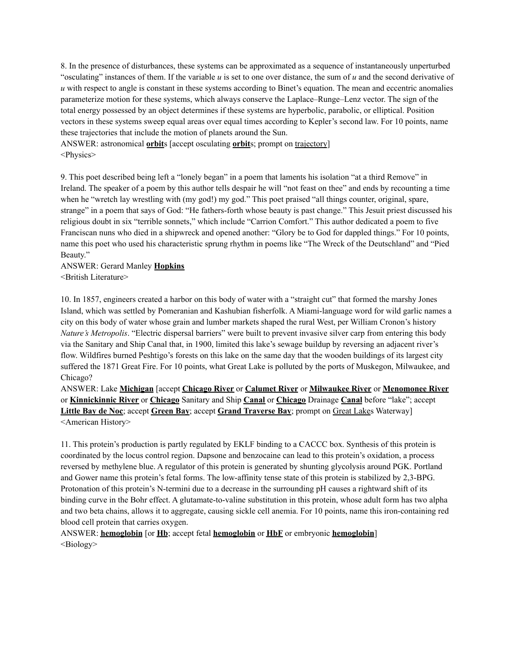8. In the presence of disturbances, these systems can be approximated as a sequence of instantaneously unperturbed "osculating" instances of them. If the variable *u* is set to one over distance, the sum of *u* and the second derivative of *u* with respect to angle is constant in these systems according to Binet's equation. The mean and eccentric anomalies parameterize motion for these systems, which always conserve the Laplace–Runge–Lenz vector. The sign of the total energy possessed by an object determines if these systems are hyperbolic, parabolic, or elliptical. Position vectors in these systems sweep equal areas over equal times according to Kepler's second law. For 10 points, name these trajectories that include the motion of planets around the Sun.

ANSWER: astronomical **orbit**s [accept osculating **orbit**s; prompt on trajectory] <Physics>

9. This poet described being left a "lonely began" in a poem that laments his isolation "at a third Remove" in Ireland. The speaker of a poem by this author tells despair he will "not feast on thee" and ends by recounting a time when he "wretch lay wrestling with (my god!) my god." This poet praised "all things counter, original, spare, strange" in a poem that says of God: "He fathers-forth whose beauty is past change." This Jesuit priest discussed his religious doubt in six "terrible sonnets," which include "Carrion Comfort." This author dedicated a poem to five Franciscan nuns who died in a shipwreck and opened another: "Glory be to God for dappled things." For 10 points, name this poet who used his characteristic sprung rhythm in poems like "The Wreck of the Deutschland" and "Pied Beauty."

## ANSWER: Gerard Manley **Hopkins** <British Literature>

10. In 1857, engineers created a harbor on this body of water with a "straight cut" that formed the marshy Jones Island, which was settled by Pomeranian and Kashubian fisherfolk. A Miami-language word for wild garlic names a city on this body of water whose grain and lumber markets shaped the rural West, per William Cronon's history *Nature's Metropolis*. "Electric dispersal barriers" were built to prevent invasive silver carp from entering this body via the Sanitary and Ship Canal that, in 1900, limited this lake's sewage buildup by reversing an adjacent river's flow. Wildfires burned Peshtigo's forests on this lake on the same day that the wooden buildings of its largest city suffered the 1871 Great Fire. For 10 points, what Great Lake is polluted by the ports of Muskegon, Milwaukee, and Chicago?

ANSWER: Lake **Michigan** [accept **Chicago River** or **Calumet River** or **Milwaukee River** or **Menomonee River** or **Kinnickinnic River** or **Chicago** Sanitary and Ship **Canal** or **Chicago** Drainage **Canal** before "lake"; accept **Little Bay de Noc**; accept **Green Bay**; accept **Grand Traverse Bay**; prompt on Great Lakes Waterway] <American History>

11. This protein's production is partly regulated by EKLF binding to a CACCC box. Synthesis of this protein is coordinated by the locus control region. Dapsone and benzocaine can lead to this protein's oxidation, a process reversed by methylene blue. A regulator of this protein is generated by shunting glycolysis around PGK. Portland and Gower name this protein's fetal forms. The low-affinity tense state of this protein is stabilized by 2,3-BPG. Protonation of this protein's N-termini due to a decrease in the surrounding pH causes a rightward shift of its binding curve in the Bohr effect. A glutamate-to-valine substitution in this protein, whose adult form has two alpha and two beta chains, allows it to aggregate, causing sickle cell anemia. For 10 points, name this iron-containing red blood cell protein that carries oxygen.

ANSWER: **hemoglobin** [or **Hb**; accept fetal **hemoglobin** or **HbF** or embryonic **hemoglobin**]  $\leq$ Biology $>$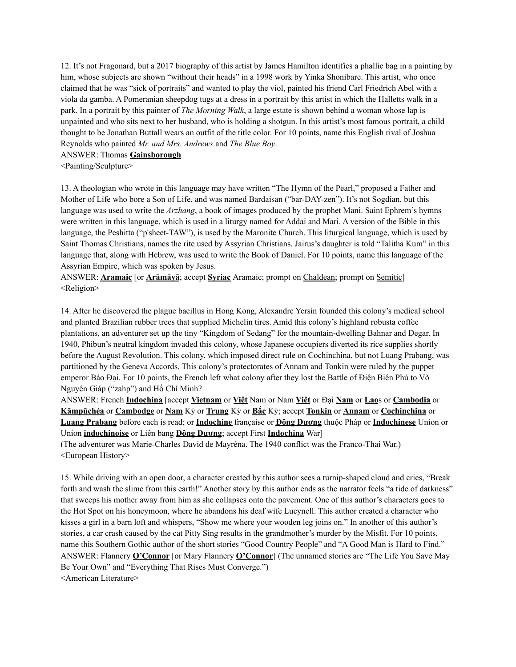12. It's not Fragonard, but a 2017 biography of this artist by James Hamilton identifies a phallic bag in a painting by him, whose subjects are shown "without their heads" in a 1998 work by Yinka Shonibare. This artist, who once claimed that he was "sick of portraits" and wanted to play the viol, painted his friend Carl Friedrich Abel with a viola da gamba. A Pomeranian sheepdog tugs at a dress in a portrait by this artist in which the Halletts walk in a park. In a portrait by this painter of *The Morning Walk*, a large estate is shown behind a woman whose lap is unpainted and who sits next to her husband, who is holding a shotgun. In this artist's most famous portrait, a child thought to be Jonathan Buttall wears an outfit of the title color. For 10 points, name this English rival of Joshua Reynolds who painted *Mr. and Mrs. Andrews* and *The Blue Boy*.

#### ANSWER: Thomas **Gainsborough**

<Painting/Sculpture>

13. A theologian who wrote in this language may have written "The Hymn of the Pearl," proposed a Father and Mother of Life who bore a Son of Life, and was named Bardaisan ("bar-DAY-zen"). It's not Sogdian, but this language was used to write the *Arzhang*, a book of images produced by the prophet Mani. Saint Ephrem's hymns were written in this language, which is used in a liturgy named for Addai and Mari. A version of the Bible in this language, the Peshitta ("p'sheet-TAW"), is used by the Maronite Church. This liturgical language, which is used by Saint Thomas Christians, names the rite used by Assyrian Christians. Jairus's daughter is told "Talitha Kum" in this language that, along with Hebrew, was used to write the Book of Daniel. For 10 points, name this language of the Assyrian Empire, which was spoken by Jesus.

ANSWER: **Aramaic** [or **Arāmāyā**; accept **Syriac** Aramaic; prompt on Chaldean; prompt on Semitic] <Religion>

14. After he discovered the plague bacillus in Hong Kong, Alexandre Yersin founded this colony's medical school and planted Brazilian rubber trees that supplied Michelin tires. Amid this colony's highland robusta coffee plantations, an adventurer set up the tiny "Kingdom of Sedang" for the mountain-dwelling Bahnar and Degar. In 1940, Phibun's neutral kingdom invaded this colony, whose Japanese occupiers diverted its rice supplies shortly before the August Revolution. This colony, which imposed direct rule on Cochinchina, but not Luang Prabang, was partitioned by the Geneva Accords. This colony's protectorates of Annam and Tonkin were ruled by the puppet emperor Bảo Đại. For 10 points, the French left what colony after they lost the Battle of Điện Biên Phủ to Võ Nguyên Giáp ("zahp") and Hồ Chí Minh?

ANSWER: French **Indochina** [accept **Vietnam** or **Việt** Nam or Nam **Việt** or Đại **Nam** or **Lao**s or **Cambodia** or **Kămpŭchéa** or **Cambodge** or **Nam** Kỳ or **Trung** Kỳ or **Bắc** Kỳ; accept **Tonkin** or **Annam** or **Cochinchina** or **Luang Prabang** before each is read; or **Indochine** française or **Đông Dương** thuộc Pháp or **Indochinese** Union or Union **indochinoise** or Liên bang **Đông Dương**; accept First **Indochina** War]

(The adventurer was Marie-Charles David de Mayréna. The 1940 conflict was the Franco-Thai War.) <European History>

15. While driving with an open door, a character created by this author sees a turnip-shaped cloud and cries, "Break forth and wash the slime from this earth!" Another story by this author ends as the narrator feels "a tide of darkness" that sweeps his mother away from him as she collapses onto the pavement. One of this author's characters goes to the Hot Spot on his honeymoon, where he abandons his deaf wife Lucynell. This author created a character who kisses a girl in a barn loft and whispers, "Show me where your wooden leg joins on." In another of this author's stories, a car crash caused by the cat Pitty Sing results in the grandmother's murder by the Misfit. For 10 points, name this Southern Gothic author of the short stories "Good Country People" and "A Good Man is Hard to Find." ANSWER: Flannery **O'Connor** [or Mary Flannery **O'Connor**] (The unnamed stories are "The Life You Save May Be Your Own" and "Everything That Rises Must Converge.") <American Literature>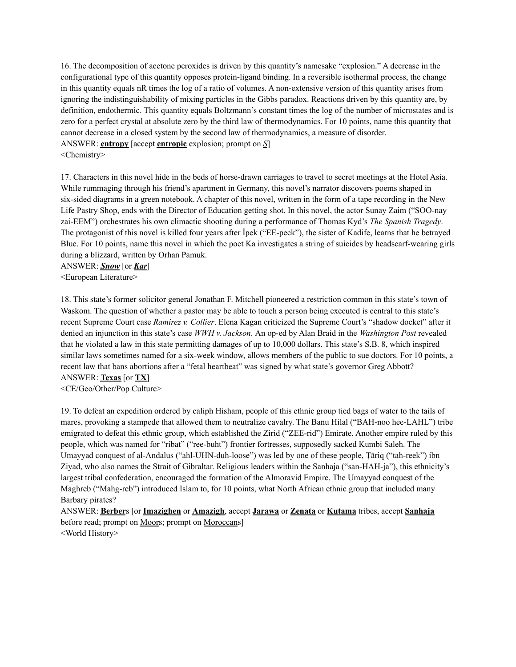16. The decomposition of acetone peroxides is driven by this quantity's namesake "explosion." A decrease in the configurational type of this quantity opposes protein-ligand binding. In a reversible isothermal process, the change in this quantity equals nR times the log of a ratio of volumes. A non-extensive version of this quantity arises from ignoring the indistinguishability of mixing particles in the Gibbs paradox. Reactions driven by this quantity are, by definition, endothermic. This quantity equals Boltzmann's constant times the log of the number of microstates and is zero for a perfect crystal at absolute zero by the third law of thermodynamics. For 10 points, name this quantity that cannot decrease in a closed system by the second law of thermodynamics, a measure of disorder. ANSWER: **entropy** [accept **entropic** explosion; prompt on *S*] <Chemistry>

17. Characters in this novel hide in the beds of horse-drawn carriages to travel to secret meetings at the Hotel Asia. While rummaging through his friend's apartment in Germany, this novel's narrator discovers poems shaped in six-sided diagrams in a green notebook. A chapter of this novel, written in the form of a tape recording in the New Life Pastry Shop, ends with the Director of Education getting shot. In this novel, the actor Sunay Zaim ("SOO-nay zai-EEM") orchestrates his own climactic shooting during a performance of Thomas Kyd's *The Spanish Tragedy*. The protagonist of this novel is killed four years after İpek ("EE-peck"), the sister of Kadife, learns that he betrayed Blue. For 10 points, name this novel in which the poet Ka investigates a string of suicides by headscarf-wearing girls during a blizzard, written by Orhan Pamuk.

ANSWER: *Snow* [or *Kar*] <European Literature>

18. This state's former solicitor general Jonathan F. Mitchell pioneered a restriction common in this state's town of Waskom. The question of whether a pastor may be able to touch a person being executed is central to this state's recent Supreme Court case *Ramirez v. Collier*. Elena Kagan criticized the Supreme Court's "shadow docket" after it denied an injunction in this state's case *WWH v. Jackson*. An op-ed by Alan Braid in the *Washington Post* revealed that he violated a law in this state permitting damages of up to 10,000 dollars. This state's S.B. 8, which inspired similar laws sometimes named for a six-week window, allows members of the public to sue doctors. For 10 points, a recent law that bans abortions after a "fetal heartbeat" was signed by what state's governor Greg Abbott? ANSWER: **Texas** [or **TX**]

<CE/Geo/Other/Pop Culture>

19. To defeat an expedition ordered by caliph Hisham, people of this ethnic group tied bags of water to the tails of mares, provoking a stampede that allowed them to neutralize cavalry. The Banu Hilal ("BAH-noo hee-LAHL") tribe emigrated to defeat this ethnic group, which established the Zirid ("ZEE-rid") Emirate. Another empire ruled by this people, which was named for "ribat" ("ree-buht") frontier fortresses, supposedly sacked Kumbi Saleh. The Umayyad conquest of al-Andalus ("ahl-UHN-duh-loose") was led by one of these people, Ṭāriq ("tah-reek") ibn Ziyad, who also names the Strait of Gibraltar. Religious leaders within the Sanhaja ("san-HAH-ja"), this ethnicity's largest tribal confederation, encouraged the formation of the Almoravid Empire. The Umayyad conquest of the Maghreb ("Mahg-reb") introduced Islam to, for 10 points, what North African ethnic group that included many Barbary pirates?

ANSWER: **Berber**s [or **Imazighen** or **Amazigh**, accept **Jarawa** or **Zenata** or **Kutama** tribes, accept **Sanhaja** before read; prompt on Moors; prompt on Moroccans] <World History>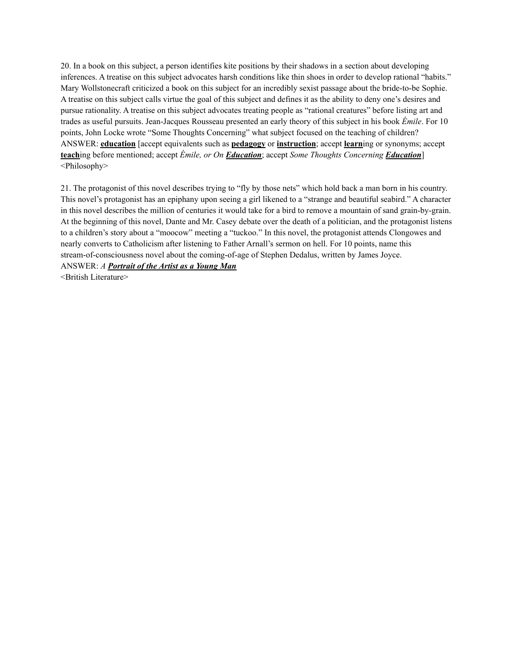20. In a book on this subject, a person identifies kite positions by their shadows in a section about developing inferences. A treatise on this subject advocates harsh conditions like thin shoes in order to develop rational "habits." Mary Wollstonecraft criticized a book on this subject for an incredibly sexist passage about the bride-to-be Sophie. A treatise on this subject calls virtue the goal of this subject and defines it as the ability to deny one's desires and pursue rationality. A treatise on this subject advocates treating people as "rational creatures" before listing art and trades as useful pursuits. Jean-Jacques Rousseau presented an early theory of this subject in his book *Émile*. For 10 points, John Locke wrote "Some Thoughts Concerning" what subject focused on the teaching of children? ANSWER: **education** [accept equivalents such as **pedagogy** or **instruction**; accept **learn**ing or synonyms; accept **teach**ing before mentioned; accept *Émile, or On Education*; accept *Some Thoughts Concerning Education*] <Philosophy>

21. The protagonist of this novel describes trying to "fly by those nets" which hold back a man born in his country. This novel's protagonist has an epiphany upon seeing a girl likened to a "strange and beautiful seabird." A character in this novel describes the million of centuries it would take for a bird to remove a mountain of sand grain-by-grain. At the beginning of this novel, Dante and Mr. Casey debate over the death of a politician, and the protagonist listens to a children's story about a "moocow" meeting a "tuckoo." In this novel, the protagonist attends Clongowes and nearly converts to Catholicism after listening to Father Arnall's sermon on hell. For 10 points, name this stream-of-consciousness novel about the coming-of-age of Stephen Dedalus, written by James Joyce. ANSWER: *A Portrait of the Artist as a Young Man*

<British Literature>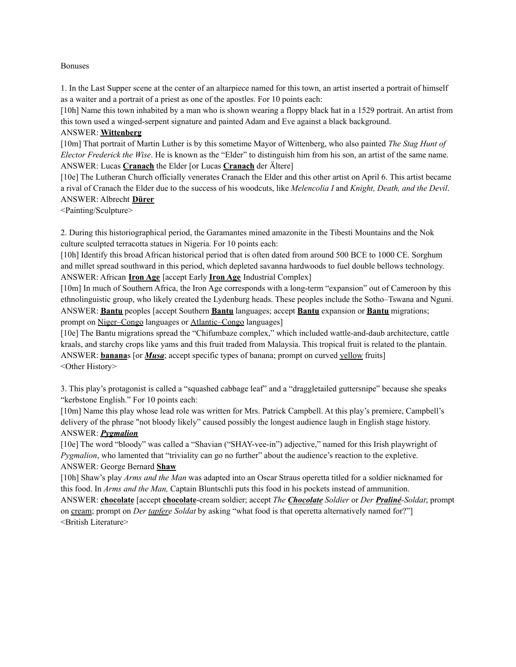#### Bonuses

1. In the Last Supper scene at the center of an altarpiece named for this town, an artist inserted a portrait of himself as a waiter and a portrait of a priest as one of the apostles. For 10 points each:

[10h] Name this town inhabited by a man who is shown wearing a floppy black hat in a 1529 portrait. An artist from this town used a winged-serpent signature and painted Adam and Eve against a black background.

#### ANSWER: **Wittenberg**

[10m] That portrait of Martin Luther is by this sometime Mayor of Wittenberg, who also painted *The Stag Hunt of Elector Frederick the Wise*. He is known as the "Elder" to distinguish him from his son, an artist of the same name. ANSWER: Lucas **Cranach** the Elder [or Lucas **Cranach** der Ältere]

[10e] The Lutheran Church officially venerates Cranach the Elder and this other artist on April 6. This artist became a rival of Cranach the Elder due to the success of his woodcuts, like *Melencolia I* and *Knight, Death, and the Devil*. ANSWER: Albrecht **Dürer**

<Painting/Sculpture>

2. During this historiographical period, the Garamantes mined amazonite in the Tibesti Mountains and the Nok culture sculpted terracotta statues in Nigeria. For 10 points each:

[10h] Identify this broad African historical period that is often dated from around 500 BCE to 1000 CE. Sorghum and millet spread southward in this period, which depleted savanna hardwoods to fuel double bellows technology. ANSWER: African **Iron Age** [accept Early **Iron Age** Industrial Complex]

[10m] In much of Southern Africa, the Iron Age corresponds with a long-term "expansion" out of Cameroon by this ethnolinguistic group, who likely created the Lydenburg heads. These peoples include the Sotho–Tswana and Nguni. ANSWER: **Bantu** peoples [accept Southern **Bantu** languages; accept **Bantu** expansion or **Bantu** migrations; prompt on Niger–Congo languages or Atlantic–Congo languages]

[10e] The Bantu migrations spread the "Chifumbaze complex," which included wattle-and-daub architecture, cattle kraals, and starchy crops like yams and this fruit traded from Malaysia. This tropical fruit is related to the plantain. ANSWER: **banana**s [or *Musa*; accept specific types of banana; prompt on curved yellow fruits] <Other History>

3. This play's protagonist is called a "squashed cabbage leaf" and a "draggletailed guttersnipe" because she speaks "kerbstone English." For 10 points each:

[10m] Name this play whose lead role was written for Mrs. Patrick Campbell. At this play's premiere, Campbell's delivery of the phrase "not bloody likely" caused possibly the longest audience laugh in English stage history. ANSWER: *Pygmalion*

[10e] The word "bloody" was called a "Shavian ("SHAY-vee-in") adjective," named for this Irish playwright of *Pygmalion*, who lamented that "triviality can go no further" about the audience's reaction to the expletive. ANSWER: George Bernard **Shaw**

[10h] Shaw's play *Arms and the Man* was adapted into an Oscar Straus operetta titled for a soldier nicknamed for this food. In *Arms and the Man,* Captain Bluntschli puts this food in his pockets instead of ammunition.

ANSWER: **chocolate** [accept **chocolate**-cream soldier; accept *The Chocolate Soldier* or *Der Praliné-Soldat*; prompt on cream; prompt on *Der tapfere Soldat* by asking "what food is that operetta alternatively named for?"] <British Literature>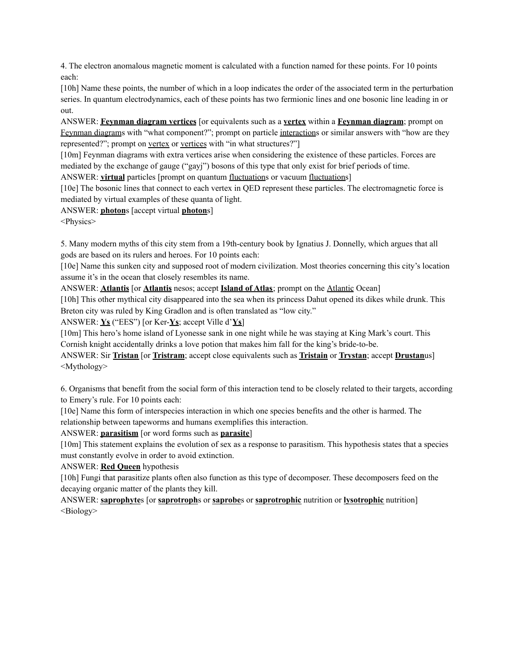4. The electron anomalous magnetic moment is calculated with a function named for these points. For 10 points each:

[10h] Name these points, the number of which in a loop indicates the order of the associated term in the perturbation series. In quantum electrodynamics, each of these points has two fermionic lines and one bosonic line leading in or out.

ANSWER: **Feynman diagram vertices** [or equivalents such as a **vertex** within a **Feynman diagram**; prompt on Feynman diagrams with "what component?"; prompt on particle interactions or similar answers with "how are they represented?"; prompt on vertex or vertices with "in what structures?"]

[10m] Feynman diagrams with extra vertices arise when considering the existence of these particles. Forces are mediated by the exchange of gauge ("gayj") bosons of this type that only exist for brief periods of time.

ANSWER: **virtual** particles [prompt on quantum fluctuations or vacuum fluctuations]

[10e] The bosonic lines that connect to each vertex in QED represent these particles. The electromagnetic force is mediated by virtual examples of these quanta of light.

ANSWER: **photon**s [accept virtual **photon**s]

<Physics>

5. Many modern myths of this city stem from a 19th-century book by Ignatius J. Donnelly, which argues that all gods are based on its rulers and heroes. For 10 points each:

[10e] Name this sunken city and supposed root of modern civilization. Most theories concerning this city's location assume it's in the ocean that closely resembles its name.

ANSWER: **Atlantis** [or **Atlantis** nesos; accept **Island of Atlas**; prompt on the Atlantic Ocean]

[10h] This other mythical city disappeared into the sea when its princess Dahut opened its dikes while drunk. This Breton city was ruled by King Gradlon and is often translated as "low city."

ANSWER: **Ys** ("EES") [or Ker-**Ys**; accept Ville d'**Ys**]

[10m] This hero's home island of Lyonesse sank in one night while he was staying at King Mark's court. This Cornish knight accidentally drinks a love potion that makes him fall for the king's bride-to-be.

ANSWER: Sir **Tristan** [or **Tristram**; accept close equivalents such as **Tristain** or **Trystan**; accept **Drustan**us] <Mythology>

6. Organisms that benefit from the social form of this interaction tend to be closely related to their targets, according to Emery's rule. For 10 points each:

[10e] Name this form of interspecies interaction in which one species benefits and the other is harmed. The relationship between tapeworms and humans exemplifies this interaction.

ANSWER: **parasitism** [or word forms such as **parasite**]

[10m] This statement explains the evolution of sex as a response to parasitism. This hypothesis states that a species must constantly evolve in order to avoid extinction.

ANSWER: **Red Queen** hypothesis

[10h] Fungi that parasitize plants often also function as this type of decomposer. These decomposers feed on the decaying organic matter of the plants they kill.

ANSWER: **saprophyte**s [or **saprotroph**s or **saprobe**s or **saprotrophic** nutrition or **lysotrophic** nutrition] <Biology>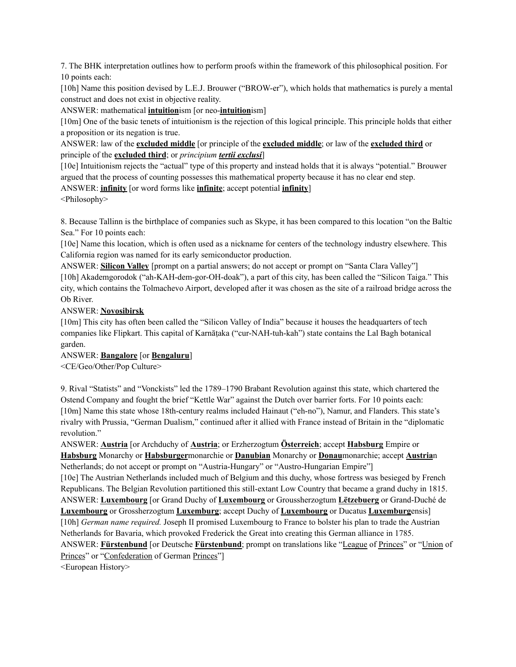7. The BHK interpretation outlines how to perform proofs within the framework of this philosophical position. For 10 points each:

[10h] Name this position devised by L.E.J. Brouwer ("BROW-er"), which holds that mathematics is purely a mental construct and does not exist in objective reality.

ANSWER: mathematical **intuition**ism [or neo-**intuition**ism]

[10m] One of the basic tenets of intuitionism is the rejection of this logical principle. This principle holds that either a proposition or its negation is true.

ANSWER: law of the **excluded middle** [or principle of the **excluded middle**; or law of the **excluded third** or principle of the **excluded third**; or *principium tertii exclusi*]

[10e] Intuitionism rejects the "actual" type of this property and instead holds that it is always "potential." Brouwer argued that the process of counting possesses this mathematical property because it has no clear end step. ANSWER: **infinity** [or word forms like **infinite**; accept potential **infinity**]

<Philosophy>

8. Because Tallinn is the birthplace of companies such as Skype, it has been compared to this location "on the Baltic Sea." For 10 points each:

[10e] Name this location, which is often used as a nickname for centers of the technology industry elsewhere. This California region was named for its early semiconductor production.

ANSWER: **Silicon Valley** [prompt on a partial answers; do not accept or prompt on "Santa Clara Valley"] [10h] Akademgorodok ("ah-KAH-dem-gor-OH-doak"), a part of this city, has been called the "Silicon Taiga." This city, which contains the Tolmachevo Airport, developed after it was chosen as the site of a railroad bridge across the Ob River.

# ANSWER: **Novosibirsk**

[10m] This city has often been called the "Silicon Valley of India" because it houses the headquarters of tech companies like Flipkart. This capital of Karnāṭaka ("cur-NAH-tuh-kah") state contains the Lal Bagh botanical garden.

# ANSWER: **Bangalore** [or **Bengaluru**]

<CE/Geo/Other/Pop Culture>

9. Rival "Statists" and "Vonckists" led the 1789–1790 Brabant Revolution against this state, which chartered the Ostend Company and fought the brief "Kettle War" against the Dutch over barrier forts. For 10 points each: [10m] Name this state whose 18th-century realms included Hainaut ("eh-no"), Namur, and Flanders. This state's rivalry with Prussia, "German Dualism," continued after it allied with France instead of Britain in the "diplomatic revolution."

ANSWER: **Austria** [or Archduchy of **Austria**; or Erzherzogtum **Österreich**; accept **Habsburg** Empire or **Habsburg** Monarchy or **Habsburger**monarchie or **Danubian** Monarchy or **Donau**monarchie; accept **Austria**n Netherlands; do not accept or prompt on "Austria-Hungary" or "Austro-Hungarian Empire"]

[10e] The Austrian Netherlands included much of Belgium and this duchy, whose fortress was besieged by French Republicans. The Belgian Revolution partitioned this still-extant Low Country that became a grand duchy in 1815. ANSWER: **Luxembourg** [or Grand Duchy of **Luxembourg** or Groussherzogtum **Lëtzebuerg** or Grand-Duché de **Luxembourg** or Grossherzogtum **Luxemburg**; accept Duchy of **Luxembourg** or Ducatus **Luxemburg**ensis]

[10h] *German name required.* Joseph II promised Luxembourg to France to bolster his plan to trade the Austrian Netherlands for Bavaria, which provoked Frederick the Great into creating this German alliance in 1785.

ANSWER: **Fürstenbund** [or Deutsche **Fürstenbund**; prompt on translations like "League of Princes" or "Union of Princes" or "Confederation of German Princes"]

<European History>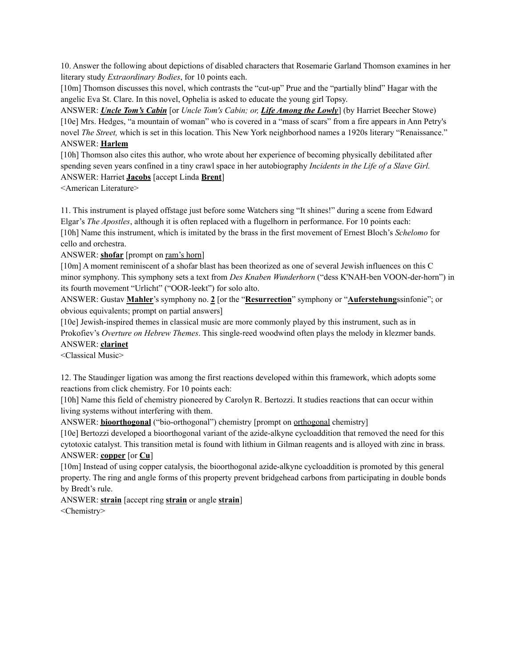10. Answer the following about depictions of disabled characters that Rosemarie Garland Thomson examines in her literary study *Extraordinary Bodies*, for 10 points each.

[10m] Thomson discusses this novel, which contrasts the "cut-up" Prue and the "partially blind" Hagar with the angelic Eva St. Clare. In this novel, Ophelia is asked to educate the young girl Topsy.

ANSWER: *Uncle Tom's Cabin* [or *Uncle Tom's Cabin; or, Life Among the Lowly*] (by Harriet Beecher Stowe) [10e] Mrs. Hedges, "a mountain of woman" who is covered in a "mass of scars" from a fire appears in Ann Petry's novel *The Street,* which is set in this location. This New York neighborhood names a 1920s literary "Renaissance." ANSWER: **Harlem**

[10h] Thomson also cites this author, who wrote about her experience of becoming physically debilitated after spending seven years confined in a tiny crawl space in her autobiography *Incidents in the Life of a Slave Girl.* ANSWER: Harriet **Jacobs** [accept Linda **Brent**]

<American Literature>

11. This instrument is played offstage just before some Watchers sing "It shines!" during a scene from Edward Elgar's *The Apostles*, although it is often replaced with a flugelhorn in performance. For 10 points each: [10h] Name this instrument, which is imitated by the brass in the first movement of Ernest Bloch's *Schelomo* for cello and orchestra.

ANSWER: **shofar** [prompt on ram's horn]

[10m] A moment reminiscent of a shofar blast has been theorized as one of several Jewish influences on this C minor symphony. This symphony sets a text from *Des Knaben Wunderhorn* ("dess K'NAH-ben VOON-der-horn") in its fourth movement "Urlicht" ("OOR-leekt") for solo alto.

ANSWER: Gustav **Mahler**'s symphony no. **2** [or the "**Resurrection**" symphony or "**Auferstehung**ssinfonie"; or obvious equivalents; prompt on partial answers]

[10e] Jewish-inspired themes in classical music are more commonly played by this instrument, such as in Prokofiev's *Overture on Hebrew Themes*. This single-reed woodwind often plays the melody in klezmer bands. ANSWER: **clarinet**

<Classical Music>

12. The Staudinger ligation was among the first reactions developed within this framework, which adopts some reactions from click chemistry. For 10 points each:

[10h] Name this field of chemistry pioneered by Carolyn R. Bertozzi. It studies reactions that can occur within living systems without interfering with them.

ANSWER: **bioorthogonal** ("bio-orthogonal") chemistry [prompt on orthogonal chemistry]

[10e] Bertozzi developed a bioorthogonal variant of the azide-alkyne cycloaddition that removed the need for this cytotoxic catalyst. This transition metal is found with lithium in Gilman reagents and is alloyed with zinc in brass. ANSWER: **copper** [or **Cu**]

[10m] Instead of using copper catalysis, the bioorthogonal azide-alkyne cycloaddition is promoted by this general property. The ring and angle forms of this property prevent bridgehead carbons from participating in double bonds by Bredt's rule.

ANSWER: **strain** [accept ring **strain** or angle **strain**] <Chemistry>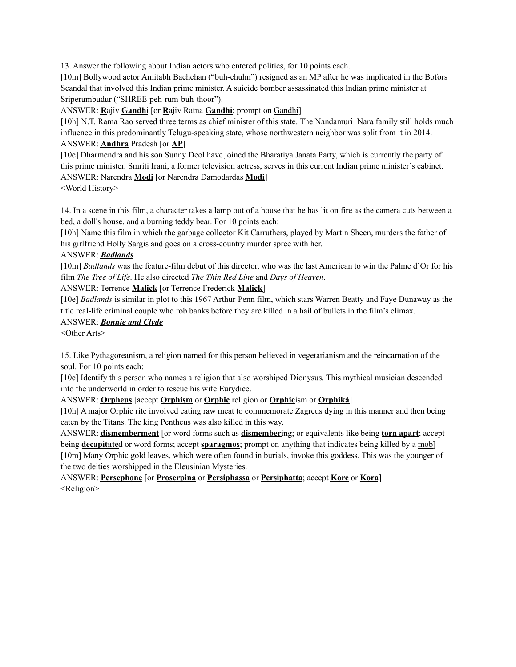13. Answer the following about Indian actors who entered politics, for 10 points each.

[10m] Bollywood actor Amitabh Bachchan ("buh-chuhn") resigned as an MP after he was implicated in the Bofors Scandal that involved this Indian prime minister. A suicide bomber assassinated this Indian prime minister at Sriperumbudur ("SHREE-peh-rum-buh-thoor").

ANSWER: **R**ajiv **Gandhi** [or **R**ajiv Ratna **Gandhi**; prompt on Gandhi]

[10h] N.T. Rama Rao served three terms as chief minister of this state. The Nandamuri–Nara family still holds much influence in this predominantly Telugu-speaking state, whose northwestern neighbor was split from it in 2014. ANSWER: **Andhra** Pradesh [or **AP**]

[10e] Dharmendra and his son Sunny Deol have joined the Bharatiya Janata Party, which is currently the party of this prime minister. Smriti Irani, a former television actress, serves in this current Indian prime minister's cabinet. ANSWER: Narendra **Modi** [or Narendra Damodardas **Modi**]

<World History>

14. In a scene in this film, a character takes a lamp out of a house that he has lit on fire as the camera cuts between a bed, a doll's house, and a burning teddy bear. For 10 points each:

[10h] Name this film in which the garbage collector Kit Carruthers, played by Martin Sheen, murders the father of his girlfriend Holly Sargis and goes on a cross-country murder spree with her.

### ANSWER: *Badlands*

[10m] *Badlands* was the feature-film debut of this director, who was the last American to win the Palme d'Or for his film *The Tree of Life*. He also directed *The Thin Red Line* and *Days of Heaven*.

# ANSWER: Terrence **Malick** [or Terrence Frederick **Malick**]

[10e] *Badlands* is similar in plot to this 1967 Arthur Penn film, which stars Warren Beatty and Faye Dunaway as the title real-life criminal couple who rob banks before they are killed in a hail of bullets in the film's climax.

### ANSWER: *Bonnie and Clyde*

<Other Arts>

15. Like Pythagoreanism, a religion named for this person believed in vegetarianism and the reincarnation of the soul. For 10 points each:

[10e] Identify this person who names a religion that also worshiped Dionysus. This mythical musician descended into the underworld in order to rescue his wife Eurydice.

ANSWER: **Orpheus** [accept **Orphism** or **Orphic** religion or **Orphic**ism or **Orphiká**]

[10h] A major Orphic rite involved eating raw meat to commemorate Zagreus dying in this manner and then being eaten by the Titans. The king Pentheus was also killed in this way.

ANSWER: **dismemberment** [or word forms such as **dismember**ing; or equivalents like being **torn apart**; accept being **decapitate**d or word forms; accept **sparagmos**; prompt on anything that indicates being killed by a mob] [10m] Many Orphic gold leaves, which were often found in burials, invoke this goddess. This was the younger of the two deities worshipped in the Eleusinian Mysteries.

ANSWER: **Persephone** [or **Proserpina** or **Persiphassa** or **Persiphatta**; accept **Kore** or **Kora**] <Religion>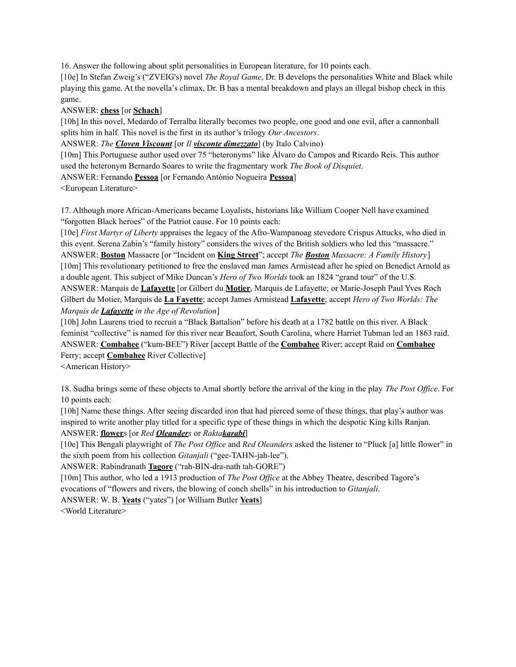16. Answer the following about split personalities in European literature, for 10 points each.

[10e] In Stefan Zweig's ("ZVEIG's) novel *The Royal Game*, Dr. B develops the personalities White and Black while playing this game. At the novella's climax, Dr. B has a mental breakdown and plays an illegal bishop check in this game.

ANSWER: **chess** [or **Schach**]

[10h] In this novel, Medardo of Terralba literally becomes two people, one good and one evil, after a cannonball splits him in half. This novel is the first in its author's trilogy *Our Ancestors*.

ANSWER: *The Cloven Viscount* [or *Il visconte dimezzato*] (by Italo Calvino)

[10m] This Portuguese author used over 75 "heteronyms" like Álvaro do Campos and Ricardo Reis. This author used the heteronym Bernardo Soares to write the fragmentary work *The Book of Disquiet*.

ANSWER: Fernando **Pessoa** [or Fernando António Nogueira **Pessoa**]

<European Literature>

17. Although more African-Americans became Loyalists, historians like William Cooper Nell have examined "forgotten Black heroes" of the Patriot cause. For 10 points each:

[10e] *First Martyr of Liberty* appraises the legacy of the Afro-Wampanoag stevedore Crispus Attucks, who died in this event. Serena Zabin's "family history" considers the wives of the British soldiers who led this "massacre." ANSWER: **Boston** Massacre [or "Incident on **King Street**"; accept *The Boston Massacre: A Family History*] [10m] This revolutionary petitioned to free the enslaved man James Armistead after he spied on Benedict Arnold as a double agent. This subject of Mike Duncan's *Hero of Two Worlds* took an 1824 "grand tour" of the U.S. ANSWER: Marquis de **Lafayette** [or Gilbert du **Motier**, Marquis de Lafayette; or Marie-Joseph Paul Yves Roch Gilbert du Motier, Marquis de **La Fayette**; accept James Armistead **Lafayette**; accept *Hero of Two Worlds: The Marquis de Lafayette in the Age of Revolution*]

[10h] John Laurens tried to recruit a "Black Battalion" before his death at a 1782 battle on this river. A Black feminist "collective" is named for this river near Beaufort, South Carolina, where Harriet Tubman led an 1863 raid. ANSWER: **Combahee** ("kum-BEE") River [accept Battle of the **Combahee** River; accept Raid on **Combahee** Ferry; accept **Combahee** River Collective]

<American History>

18. Sudha brings some of these objects to Amal shortly before the arrival of the king in the play *The Post Of ice*. For 10 points each:

[10h] Name these things. After seeing discarded iron that had pierced some of these things, that play's author was inspired to write another play titled for a specific type of these things in which the despotic King kills Ranjan. ANSWER: **flower**s [or *Red Oleanders* or *Raktakarabi*]

[10e] This Bengali playwright of *The Post Of ice* and *Red Oleanders* asked the listener to "Pluck [a] little flower" in the sixth poem from his collection *Gitanjali* ("gee-TAHN-jah-lee").

ANSWER: Rabindranath **Tagore** ("rah-BIN-dra-nath tah-GORE")

[10m] This author, who led a 1913 production of *The Post Of ice* at the Abbey Theatre, described Tagore's evocations of "flowers and rivers, the blowing of conch shells" in his introduction to *Gitanjali*.

ANSWER: W. B. **Yeats** ("yates") [or William Butler **Yeats**]

<World Literature>